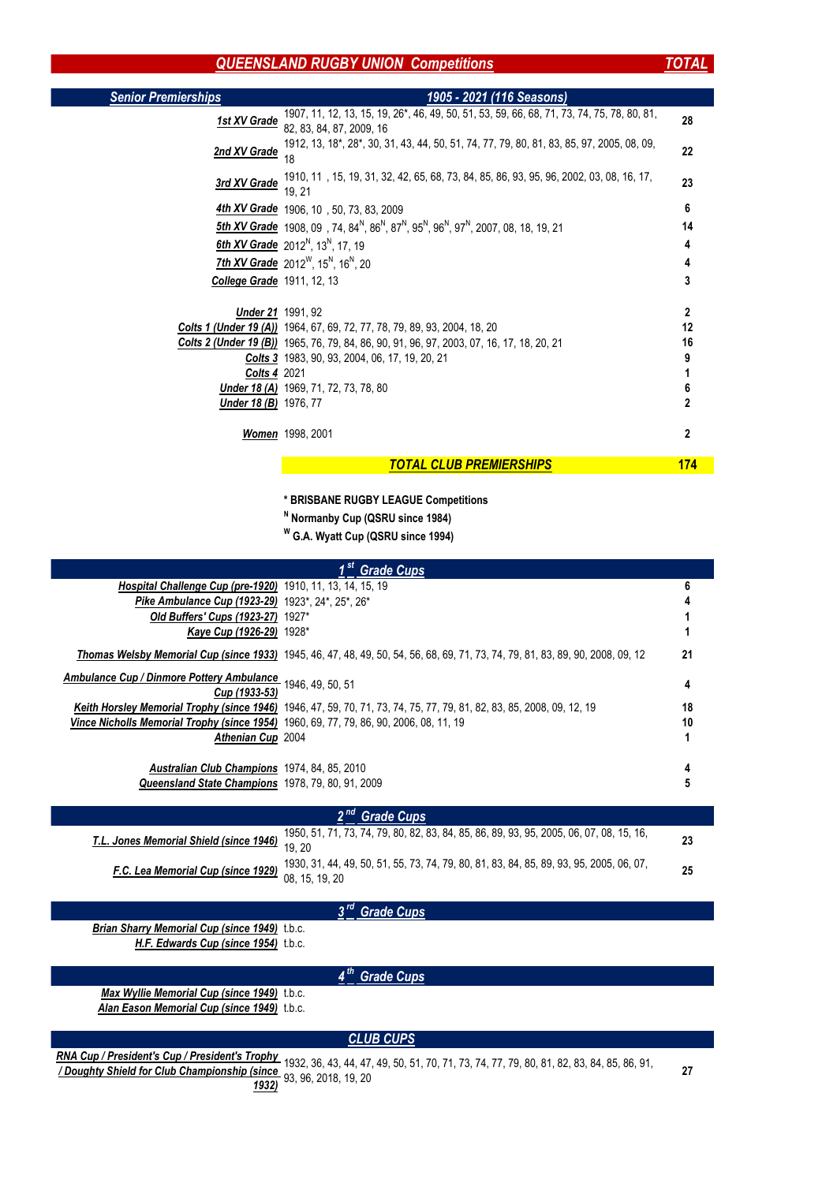×.

| <b>Senior Premierships</b>        | 1905 - 2021 (116 Seasons)                                                                                                                                          |                |
|-----------------------------------|--------------------------------------------------------------------------------------------------------------------------------------------------------------------|----------------|
| 1st XV Grade                      | 1907, 11, 12, 13, 15, 19, 26*, 46, 49, 50, 51, 53, 59, 66, 68, 71, 73, 74, 75, 78, 80, 81,<br>82, 83, 84, 87, 2009, 16                                             | 28             |
| 2nd XV Grade                      | 1912, 13, 18*, 28*, 30, 31, 43, 44, 50, 51, 74, 77, 79, 80, 81, 83, 85, 97, 2005, 08, 09,<br>18                                                                    | 22             |
| 3rd XV Grade                      | 1910, 11, 15, 19, 31, 32, 42, 65, 68, 73, 84, 85, 86, 93, 95, 96, 2002, 03, 08, 16, 17,<br>19, 21                                                                  | 23             |
|                                   | <b>4th XV Grade</b> 1906, 10, 50, 73, 83, 2009                                                                                                                     | 6              |
|                                   | <b>5th XV Grade</b> 1908, 09, 74, 84 <sup>N</sup> , 86 <sup>N</sup> , 87 <sup>N</sup> , 95 <sup>N</sup> , 96 <sup>N</sup> , 97 <sup>N</sup> , 2007, 08, 18, 19, 21 | 14             |
|                                   | <b>6th XV Grade</b> 2012 <sup>N</sup> , 13 <sup>N</sup> , 17, 19                                                                                                   | 4              |
|                                   | <b>7th XV Grade</b> 2012 <sup>W</sup> , 15 <sup>N</sup> , 16 <sup>N</sup> , 20                                                                                     | 4              |
| <b>College Grade</b> 1911, 12, 13 |                                                                                                                                                                    | 3              |
| <b>Under 21</b> 1991, 92          |                                                                                                                                                                    | $\overline{2}$ |
|                                   | <b>Colts 1 (Under 19 (A))</b> 1964, 67, 69, 72, 77, 78, 79, 89, 93, 2004, 18, 20                                                                                   | 12             |
|                                   | <b>Colts 2 (Under 19 (B))</b> 1965, 76, 79, 84, 86, 90, 91, 96, 97, 2003, 07, 16, 17, 18, 20, 21                                                                   | 16             |
|                                   | <b>Colts 3</b> 1983, 90, 93, 2004, 06, 17, 19, 20, 21                                                                                                              |                |
| <b>Colts 4 2021</b>               |                                                                                                                                                                    |                |
|                                   | <b>Under 18 (A)</b> 1969, 71, 72, 73, 78, 80                                                                                                                       | 6              |
| <b>Under 18 (B)</b> 1976, 77      |                                                                                                                                                                    | $\overline{2}$ |
|                                   | <b>Women</b> 1998, 2001                                                                                                                                            | $\overline{2}$ |
|                                   | <b>TOTAL CLUB PREMIERSHIPS</b>                                                                                                                                     | <u>174</u>     |

- **\* BRISBANE RUGBY LEAGUE Competitions**
- **N Normanby Cup (QSRU since 1984)**
- **W G.A. Wyatt Cup (QSRU since 1994)**

|                                                                                               | <b>Grade Cups</b>                                                                                                                     |    |  |
|-----------------------------------------------------------------------------------------------|---------------------------------------------------------------------------------------------------------------------------------------|----|--|
| <b>Hospital Challenge Cup (pre-1920)</b> 1910, 11, 13, 14, 15, 19                             |                                                                                                                                       |    |  |
| Pike Ambulance Cup (1923-29) 1923*, 24*, 25*, 26*                                             |                                                                                                                                       |    |  |
| Old Buffers' Cups (1923-27)                                                                   | $1927*$                                                                                                                               |    |  |
| <b>Kaye Cup (1926-29)</b> 1928*                                                               |                                                                                                                                       |    |  |
|                                                                                               | <b>Thomas Welsby Memorial Cup (since 1933)</b> 1945, 46, 47, 48, 49, 50, 54, 56, 68, 69, 71, 73, 74, 79, 81, 83, 89, 90, 2008, 09, 12 | 21 |  |
| Ambulance Cup / Dinmore Pottery Ambulance                                                     | 1946, 49, 50, 51                                                                                                                      | 4  |  |
| Cup (1933-53)                                                                                 |                                                                                                                                       |    |  |
|                                                                                               | Keith Horsley Memorial Trophy (since 1946) 1946, 47, 59, 70, 71, 73, 74, 75, 77, 79, 81, 82, 83, 85, 2008, 09, 12, 19                 | 18 |  |
| <b>Vince Nicholls Memorial Trophy (since 1954)</b> 1960, 69, 77, 79, 86, 90, 2006, 08, 11, 19 |                                                                                                                                       | 10 |  |
| <b>Athenian Cup 2004</b>                                                                      |                                                                                                                                       |    |  |
| <b>Australian Club Champions</b> 1974, 84, 85, 2010                                           |                                                                                                                                       |    |  |
| Queensland State Champions 1978, 79, 80, 91, 2009                                             |                                                                                                                                       | 5  |  |
| <b>Grade Cups</b>                                                                             |                                                                                                                                       |    |  |
| T.L. Jones Memorial Shield (since 1946)                                                       | 1950, 51, 71, 73, 74, 79, 80, 82, 83, 84, 85, 86, 89, 93, 95, 2005, 06, 07, 08, 15, 16,<br>19, 20                                     | 23 |  |

*F.C. Lea Memorial Cup (since 1929)* 1930, 31, 44, 49, 50, 51, 55, 73, 74, 79, 80, 81, 83, 84, 85, 89, 93, 95, 2005, 06, 07, 08, 15, 19, 20 **<sup>25</sup>**

*Brian Sharry Memorial Cup (since 1949)* t.b.c. **H.F. Edwards Cup (since 1954)** t.b.c.

*Max Wyllie Memorial Cup (since 1949)* t.b.c. *Alan Eason Memorial Cup (since 1949)* t.b.c.

| <b>CLUB CUPS</b>                                                                                                                                       |  |
|--------------------------------------------------------------------------------------------------------------------------------------------------------|--|
| RNA Cup / President's Cup / President's Trophy 1932, 36, 43, 44, 47, 49, 50, 51, 70, 71, 73, 74, 77, 79, 80, 81, 82, 83, 84, 85, 86, 91,               |  |
|                                                                                                                                                        |  |
| $\mu$ President S Club Championship (since $\frac{1}{2}$ 93, 96, 2018, 19, 20<br>$\mu$ Doughty Shield for Club Championship (since $\frac{932}{19322}$ |  |

## *4 th Grade Cups*

## *3 rd Grade Cups*

## *QUEENSLAND RUGBY UNION Competitions*